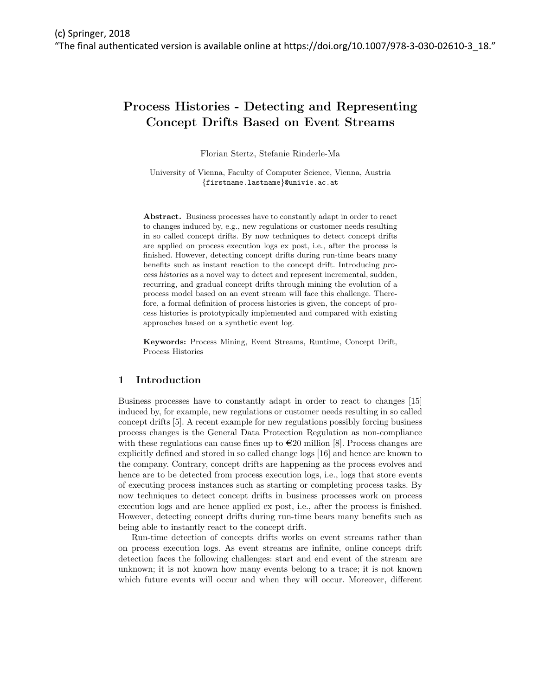# Process Histories - Detecting and Representing Concept Drifts Based on Event Streams

Florian Stertz, Stefanie Rinderle-Ma

University of Vienna, Faculty of Computer Science, Vienna, Austria {firstname.lastname}@univie.ac.at

Abstract. Business processes have to constantly adapt in order to react to changes induced by, e.g., new regulations or customer needs resulting in so called concept drifts. By now techniques to detect concept drifts are applied on process execution logs ex post, i.e., after the process is finished. However, detecting concept drifts during run-time bears many benefits such as instant reaction to the concept drift. Introducing process histories as a novel way to detect and represent incremental, sudden, recurring, and gradual concept drifts through mining the evolution of a process model based on an event stream will face this challenge. Therefore, a formal definition of process histories is given, the concept of process histories is prototypically implemented and compared with existing approaches based on a synthetic event log.

Keywords: Process Mining, Event Streams, Runtime, Concept Drift, Process Histories

## 1 Introduction

Business processes have to constantly adapt in order to react to changes [\[15\]](#page-17-0) induced by, for example, new regulations or customer needs resulting in so called concept drifts [\[5\]](#page-17-1). A recent example for new regulations possibly forcing business process changes is the General Data Protection Regulation as non-compliance with these regulations can cause fines up to  $\text{\textsterling}20$  million [\[8\]](#page-17-2). Process changes are explicitly defined and stored in so called change logs [\[16\]](#page-17-3) and hence are known to the company. Contrary, concept drifts are happening as the process evolves and hence are to be detected from process execution logs, i.e., logs that store events of executing process instances such as starting or completing process tasks. By now techniques to detect concept drifts in business processes work on process execution logs and are hence applied ex post, i.e., after the process is finished. However, detecting concept drifts during run-time bears many benefits such as being able to instantly react to the concept drift.

Run-time detection of concepts drifts works on event streams rather than on process execution logs. As event streams are infinite, online concept drift detection faces the following challenges: start and end event of the stream are unknown; it is not known how many events belong to a trace; it is not known which future events will occur and when they will occur. Moreover, different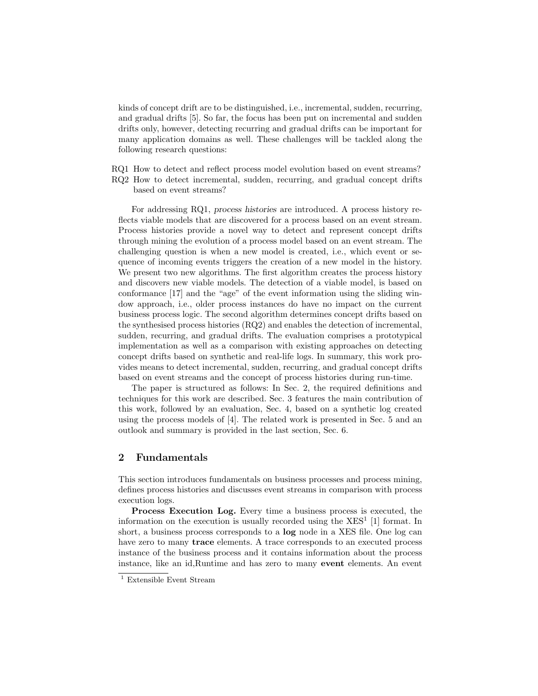kinds of concept drift are to be distinguished, i.e., incremental, sudden, recurring, and gradual drifts [\[5\]](#page-17-1). So far, the focus has been put on incremental and sudden drifts only, however, detecting recurring and gradual drifts can be important for many application domains as well. These challenges will be tackled along the following research questions:

RQ1 How to detect and reflect process model evolution based on event streams? RQ2 How to detect incremental, sudden, recurring, and gradual concept drifts based on event streams?

For addressing RQ1, process histories are introduced. A process history reflects viable models that are discovered for a process based on an event stream. Process histories provide a novel way to detect and represent concept drifts through mining the evolution of a process model based on an event stream. The challenging question is when a new model is created, i.e., which event or sequence of incoming events triggers the creation of a new model in the history. We present two new algorithms. The first algorithm creates the process history and discovers new viable models. The detection of a viable model, is based on conformance [\[17\]](#page-17-4) and the "age" of the event information using the sliding window approach, i.e., older process instances do have no impact on the current business process logic. The second algorithm determines concept drifts based on the synthesised process histories (RQ2) and enables the detection of incremental, sudden, recurring, and gradual drifts. The evaluation comprises a prototypical implementation as well as a comparison with existing approaches on detecting concept drifts based on synthetic and real-life logs. In summary, this work provides means to detect incremental, sudden, recurring, and gradual concept drifts based on event streams and the concept of process histories during run-time.

The paper is structured as follows: In Sec. [2,](#page-1-0) the required definitions and techniques for this work are described. Sec. [3](#page-4-0) features the main contribution of this work, followed by an evaluation, Sec. [4,](#page-10-0) based on a synthetic log created using the process models of [\[4\]](#page-16-0). The related work is presented in Sec. [5](#page-14-0) and an outlook and summary is provided in the last section, Sec. [6.](#page-16-1)

## <span id="page-1-0"></span>2 Fundamentals

This section introduces fundamentals on business processes and process mining, defines process histories and discusses event streams in comparison with process execution logs.

Process Execution Log. Every time a business process is executed, the information on the execution is usually recorded using the  $XES<sup>1</sup>$  $XES<sup>1</sup>$  $XES<sup>1</sup>$  [\[1\]](#page-16-2) format. In short, a business process corresponds to a log node in a XES file. One log can have zero to many **trace** elements. A trace corresponds to an executed process instance of the business process and it contains information about the process instance, like an id,Runtime and has zero to many event elements. An event

<span id="page-1-1"></span><sup>1</sup> Extensible Event Stream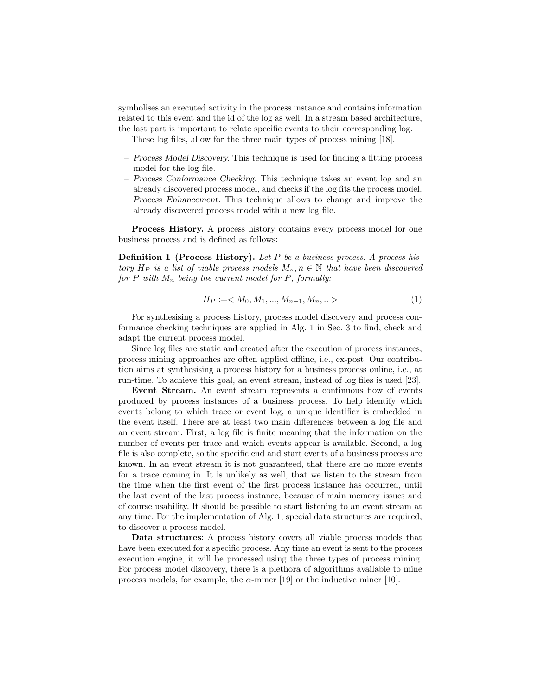symbolises an executed activity in the process instance and contains information related to this event and the id of the log as well. In a stream based architecture, the last part is important to relate specific events to their corresponding log.

These log files, allow for the three main types of process mining [\[18\]](#page-17-5).

- Process Model Discovery. This technique is used for finding a fitting process model for the log file.
- Process Conformance Checking. This technique takes an event log and an already discovered process model, and checks if the log fits the process model.
- Process Enhancement. This technique allows to change and improve the already discovered process model with a new log file.

Process History. A process history contains every process model for one business process and is defined as follows:

**Definition 1 (Process History).** Let P be a business process. A process history  $H_P$  is a list of viable process models  $M_n, n \in \mathbb{N}$  that have been discovered for P with  $M_n$  being the current model for P, formally:

$$
H_P := \langle M_0, M_1, \dots, M_{n-1}, M_n, \dots \rangle \tag{1}
$$

For synthesising a process history, process model discovery and process conformance checking techniques are applied in Alg. [1](#page-5-0) in Sec. [3](#page-4-0) to find, check and adapt the current process model.

Since log files are static and created after the execution of process instances, process mining approaches are often applied offline, i.e., ex-post. Our contribution aims at synthesising a process history for a business process online, i.e., at run-time. To achieve this goal, an event stream, instead of log files is used [\[23\]](#page-17-6).

Event Stream. An event stream represents a continuous flow of events produced by process instances of a business process. To help identify which events belong to which trace or event log, a unique identifier is embedded in the event itself. There are at least two main differences between a log file and an event stream. First, a log file is finite meaning that the information on the number of events per trace and which events appear is available. Second, a log file is also complete, so the specific end and start events of a business process are known. In an event stream it is not guaranteed, that there are no more events for a trace coming in. It is unlikely as well, that we listen to the stream from the time when the first event of the first process instance has occurred, until the last event of the last process instance, because of main memory issues and of course usability. It should be possible to start listening to an event stream at any time. For the implementation of Alg. [1,](#page-5-0) special data structures are required, to discover a process model.

Data structures: A process history covers all viable process models that have been executed for a specific process. Any time an event is sent to the process execution engine, it will be processed using the three types of process mining. For process model discovery, there is a plethora of algorithms available to mine process models, for example, the  $\alpha$ -miner [\[19\]](#page-17-7) or the inductive miner [\[10\]](#page-17-8).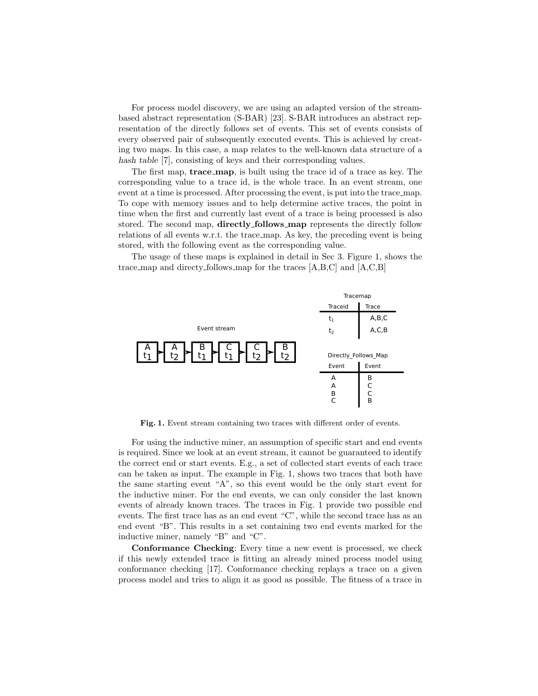For process model discovery, we are using an adapted version of the streambased abstract representation (S-BAR) [\[23\]](#page-17-6). S-BAR introduces an abstract representation of the directly follows set of events. This set of events consists of every observed pair of subsequently executed events. This is achieved by creating two maps. In this case, a map relates to the well-known data structure of a hash table [\[7\]](#page-17-9), consisting of keys and their corresponding values.

The first map, **trace\_map**, is built using the trace id of a trace as key. The corresponding value to a trace id, is the whole trace. In an event stream, one event at a time is processed. After processing the event, is put into the trace map. To cope with memory issues and to help determine active traces, the point in time when the first and currently last event of a trace is being processed is also stored. The second map, **directly follows map** represents the directly follow relations of all events w.r.t. the trace map. As key, the preceding event is being stored, with the following event as the corresponding value.

The usage of these maps is explained in detail in Sec [3.](#page-4-0) Figure [1,](#page-3-0) shows the trace map and directy follows map for the traces  $[A, B, C]$  and  $[A, C, B]$ 



<span id="page-3-0"></span>Fig. 1. Event stream containing two traces with different order of events.

For using the inductive miner, an assumption of specific start and end events is required. Since we look at an event stream, it cannot be guaranteed to identify the correct end or start events. E.g., a set of collected start events of each trace can be taken as input. The example in Fig. [1,](#page-3-0) shows two traces that both have the same starting event "A", so this event would be the only start event for the inductive miner. For the end events, we can only consider the last known events of already known traces. The traces in Fig. [1](#page-3-0) provide two possible end events. The first trace has as an end event "C", while the second trace has as an end event "B". This results in a set containing two end events marked for the inductive miner, namely "B" and "C".

Conformance Checking: Every time a new event is processed, we check if this newly extended trace is fitting an already mined process model using conformance checking [\[17\]](#page-17-4). Conformance checking replays a trace on a given process model and tries to align it as good as possible. The fitness of a trace in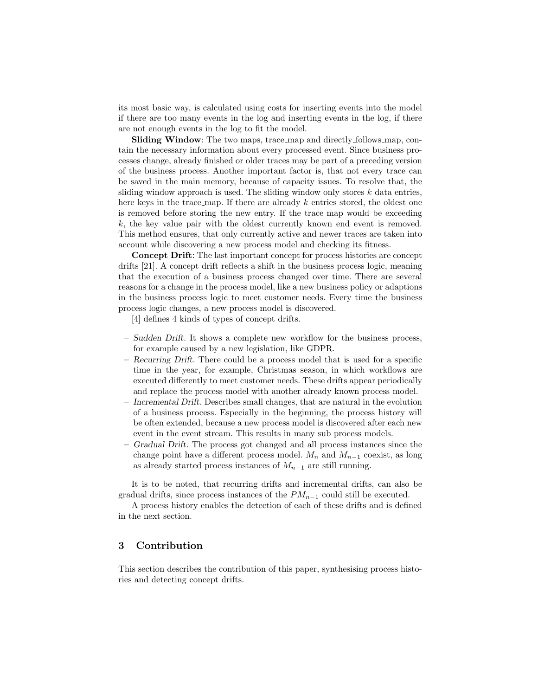its most basic way, is calculated using costs for inserting events into the model if there are too many events in the log and inserting events in the log, if there are not enough events in the log to fit the model.

Sliding Window: The two maps, trace map and directly follows map, contain the necessary information about every processed event. Since business processes change, already finished or older traces may be part of a preceding version of the business process. Another important factor is, that not every trace can be saved in the main memory, because of capacity issues. To resolve that, the sliding window approach is used. The sliding window only stores  $k$  data entries, here keys in the trace map. If there are already  $k$  entries stored, the oldest one is removed before storing the new entry. If the trace map would be exceeding k, the key value pair with the oldest currently known end event is removed. This method ensures, that only currently active and newer traces are taken into account while discovering a new process model and checking its fitness.

Concept Drift: The last important concept for process histories are concept drifts [\[21\]](#page-17-10). A concept drift reflects a shift in the business process logic, meaning that the execution of a business process changed over time. There are several reasons for a change in the process model, like a new business policy or adaptions in the business process logic to meet customer needs. Every time the business process logic changes, a new process model is discovered.

[\[4\]](#page-16-0) defines 4 kinds of types of concept drifts.

- Sudden Drift. It shows a complete new workflow for the business process, for example caused by a new legislation, like GDPR.
- Recurring Drift. There could be a process model that is used for a specific time in the year, for example, Christmas season, in which workflows are executed differently to meet customer needs. These drifts appear periodically and replace the process model with another already known process model.
- Incremental Drift. Describes small changes, that are natural in the evolution of a business process. Especially in the beginning, the process history will be often extended, because a new process model is discovered after each new event in the event stream. This results in many sub process models.
- Gradual Drift. The process got changed and all process instances since the change point have a different process model.  $M_n$  and  $M_{n-1}$  coexist, as long as already started process instances of  $M_{n-1}$  are still running.

It is to be noted, that recurring drifts and incremental drifts, can also be gradual drifts, since process instances of the  $PM_{n-1}$  could still be executed.

A process history enables the detection of each of these drifts and is defined in the next section.

# <span id="page-4-0"></span>3 Contribution

This section describes the contribution of this paper, synthesising process histories and detecting concept drifts.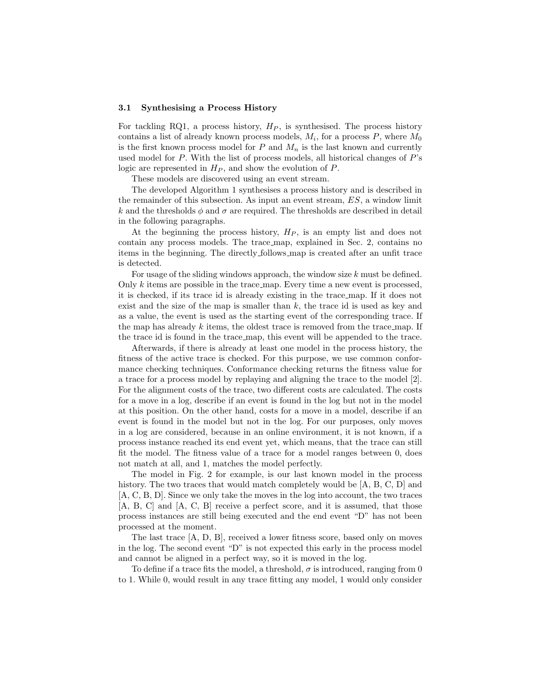#### 3.1 Synthesising a Process History

For tackling RQ1, a process history,  $H_P$ , is synthesised. The process history contains a list of already known process models,  $M_i$ , for a process  $P$ , where  $M_0$ is the first known process model for P and  $M_n$  is the last known and currently used model for P. With the list of process models, all historical changes of P's logic are represented in  $H_P$ , and show the evolution of  $P$ .

These models are discovered using an event stream.

The developed Algorithm [1](#page-5-0) synthesises a process history and is described in the remainder of this subsection. As input an event stream, ES, a window limit k and the thresholds  $\phi$  and  $\sigma$  are required. The thresholds are described in detail in the following paragraphs.

At the beginning the process history,  $H_P$ , is an empty list and does not contain any process models. The trace map, explained in Sec. [2,](#page-1-0) contains no items in the beginning. The directly follows map is created after an unfit trace is detected.

For usage of the sliding windows approach, the window size  $k$  must be defined. Only  $k$  items are possible in the trace map. Every time a new event is processed, it is checked, if its trace id is already existing in the trace map. If it does not exist and the size of the map is smaller than  $k$ , the trace id is used as key and as a value, the event is used as the starting event of the corresponding trace. If the map has already  $k$  items, the oldest trace is removed from the trace map. If the trace id is found in the trace map, this event will be appended to the trace.

Afterwards, if there is already at least one model in the process history, the fitness of the active trace is checked. For this purpose, we use common conformance checking techniques. Conformance checking returns the fitness value for a trace for a process model by replaying and aligning the trace to the model [\[2\]](#page-16-3). For the alignment costs of the trace, two different costs are calculated. The costs for a move in a log, describe if an event is found in the log but not in the model at this position. On the other hand, costs for a move in a model, describe if an event is found in the model but not in the log. For our purposes, only moves in a log are considered, because in an online environment, it is not known, if a process instance reached its end event yet, which means, that the trace can still fit the model. The fitness value of a trace for a model ranges between 0, does not match at all, and 1, matches the model perfectly.

The model in Fig. [2](#page-7-0) for example, is our last known model in the process history. The two traces that would match completely would be [A, B, C, D] and [A, C, B, D]. Since we only take the moves in the log into account, the two traces [A, B, C] and [A, C, B] receive a perfect score, and it is assumed, that those process instances are still being executed and the end event "D" has not been processed at the moment.

The last trace [A, D, B], received a lower fitness score, based only on moves in the log. The second event "D" is not expected this early in the process model and cannot be aligned in a perfect way, so it is moved in the log.

<span id="page-5-0"></span>To define if a trace fits the model, a threshold,  $\sigma$  is introduced, ranging from 0 to 1. While 0, would result in any trace fitting any model, 1 would only consider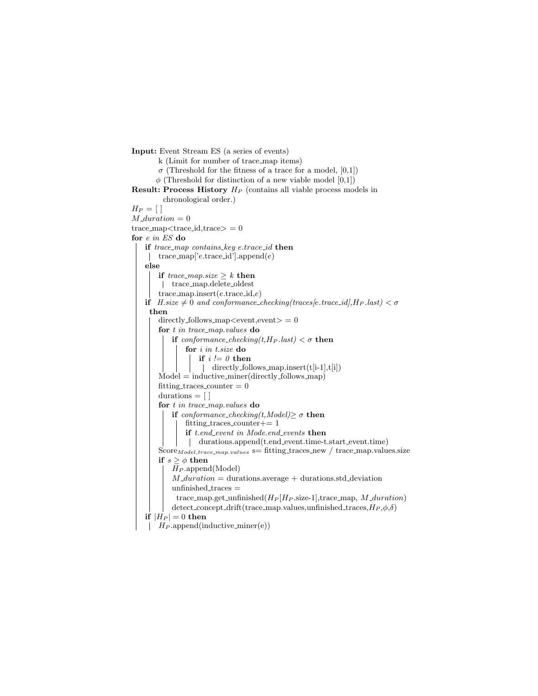```
Input: Event Stream ES (a series of events)
        k (Limit for number of trace map items)
        \sigma (Threshold for the fitness of a trace for a model, [0,1])
       \phi (Threshold for distinction of a new viable model [0,1])
Result: Process History H_P (contains all viable process models in
         chronological order.)
H_P = [M\_duration = 0trace\_map < trace\_id, trace> = 0for e in ES do
    if trace_map contains_key e.trace_id then
     | \arctan\left[\text{``e.trace_id''}\right].\text{append}(e)else
        if trace_map.size \geq k then
         | trace_map.delete_oldest
        trace_map.insert(e.trace_id,e)if H.size \neq 0 and conformance checking(traces[e.trace id],H_P .last) < \sigmathen
        directly_f follows_map < event, event > 0for t in trace_map.values do
            if conformance_checking(t,H<sub>P</sub>.last) < \sigma then
                for i in t.size do
                    if i := 0 then
                     \text{directly_folows\_map.insert(t[i-1],t[i])}Model = inductive\_minor(directly_follow\_map)fitting\_traces\_counter = 0durations = [ ]for t in trace_map.values do
            if conformance_checking(t,Model)\geq \sigma then
                fitting\_traces\_counter+= 1if t.end_event in Mode.end_events then
                durations.append(t.end event.time-t.start event.time)
        Score_{Model,trace\_map.values} s= fitting traces new / trace map.values.size
        if s \geq \phi then
            H_P.append(Model)
            \label{eq:1} {\cal M}\_duration = \text{durations}.\text{average} + \text{durations.std}\_deviationunfiniteed traces =trace map.get unfinished (H_P | H_P size-1, trace map, M duration)
            detect_concept_drift(trace_map.values,unfinished_traces,H_P,\phi,\delta)
    if |H_P| = 0 then
    \vert H_P append(inductive miner(e))
```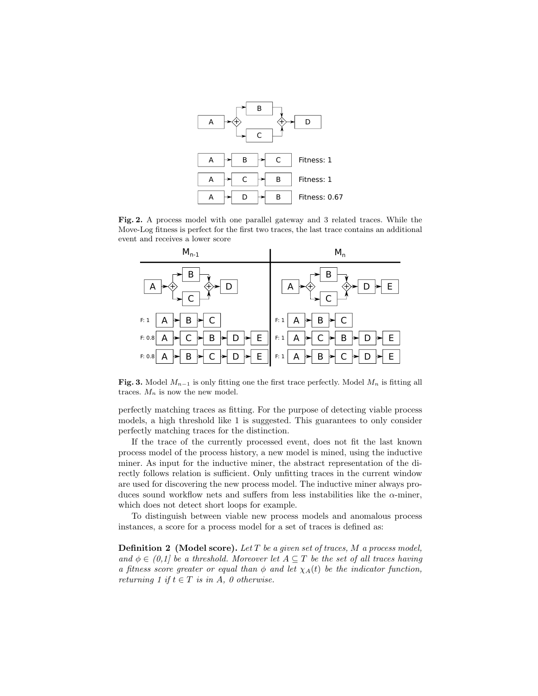

<span id="page-7-0"></span>Fig. 2. A process model with one parallel gateway and 3 related traces. While the Move-Log fitness is perfect for the first two traces, the last trace contains an additional event and receives a lower score



<span id="page-7-1"></span>Fig. 3. Model  $M_{n-1}$  is only fitting one the first trace perfectly. Model  $M_n$  is fitting all traces.  $M_n$  is now the new model.

perfectly matching traces as fitting. For the purpose of detecting viable process models, a high threshold like 1 is suggested. This guarantees to only consider perfectly matching traces for the distinction.

If the trace of the currently processed event, does not fit the last known process model of the process history, a new model is mined, using the inductive miner. As input for the inductive miner, the abstract representation of the directly follows relation is sufficient. Only unfitting traces in the current window are used for discovering the new process model. The inductive miner always produces sound workflow nets and suffers from less instabilities like the  $\alpha$ -miner, which does not detect short loops for example.

To distinguish between viable new process models and anomalous process instances, a score for a process model for a set of traces is defined as:

**Definition 2** (Model score). Let  $T$  be a given set of traces,  $M$  a process model, and  $\phi \in (0,1]$  be a threshold. Moreover let  $A \subseteq T$  be the set of all traces having a fitness score greater or equal than  $\phi$  and let  $\chi_A(t)$  be the indicator function, returning 1 if  $t \in T$  is in A, 0 otherwise.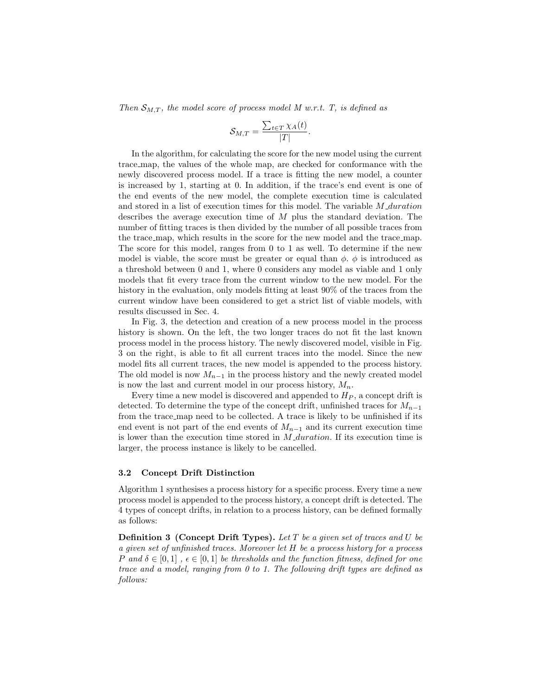Then  $S_{M,T}$ , the model score of process model M w.r.t. T, is defined as

$$
\mathcal{S}_{M,T} = \frac{\sum_{t \in T} \chi_A(t)}{|T|}.
$$

In the algorithm, for calculating the score for the new model using the current trace map, the values of the whole map, are checked for conformance with the newly discovered process model. If a trace is fitting the new model, a counter is increased by 1, starting at 0. In addition, if the trace's end event is one of the end events of the new model, the complete execution time is calculated and stored in a list of execution times for this model. The variable M\_duration describes the average execution time of  $M$  plus the standard deviation. The number of fitting traces is then divided by the number of all possible traces from the trace map, which results in the score for the new model and the trace map. The score for this model, ranges from 0 to 1 as well. To determine if the new model is viable, the score must be greater or equal than  $\phi$ .  $\phi$  is introduced as a threshold between 0 and 1, where 0 considers any model as viable and 1 only models that fit every trace from the current window to the new model. For the history in the evaluation, only models fitting at least  $90\%$  of the traces from the current window have been considered to get a strict list of viable models, with results discussed in Sec. [4.](#page-10-0)

In Fig. [3,](#page-7-1) the detection and creation of a new process model in the process history is shown. On the left, the two longer traces do not fit the last known process model in the process history. The newly discovered model, visible in Fig. [3](#page-7-1) on the right, is able to fit all current traces into the model. Since the new model fits all current traces, the new model is appended to the process history. The old model is now  $M_{n-1}$  in the process history and the newly created model is now the last and current model in our process history,  $M_n$ .

Every time a new model is discovered and appended to  $H<sub>P</sub>$ , a concept drift is detected. To determine the type of the concept drift, unfinished traces for  $M_{n-1}$ from the trace map need to be collected. A trace is likely to be unfinished if its end event is not part of the end events of  $M_{n-1}$  and its current execution time is lower than the execution time stored in  $M\_duration$ . If its execution time is larger, the process instance is likely to be cancelled.

#### 3.2 Concept Drift Distinction

Algorithm [1](#page-5-0) synthesises a process history for a specific process. Every time a new process model is appended to the process history, a concept drift is detected. The 4 types of concept drifts, in relation to a process history, can be defined formally as follows:

**Definition 3 (Concept Drift Types).** Let T be a given set of traces and U be a given set of unfinished traces. Moreover let H be a process history for a process P and  $\delta \in [0, 1]$ ,  $\epsilon \in [0, 1]$  be thresholds and the function fitness, defined for one trace and a model, ranging from 0 to 1. The following drift types are defined as follows: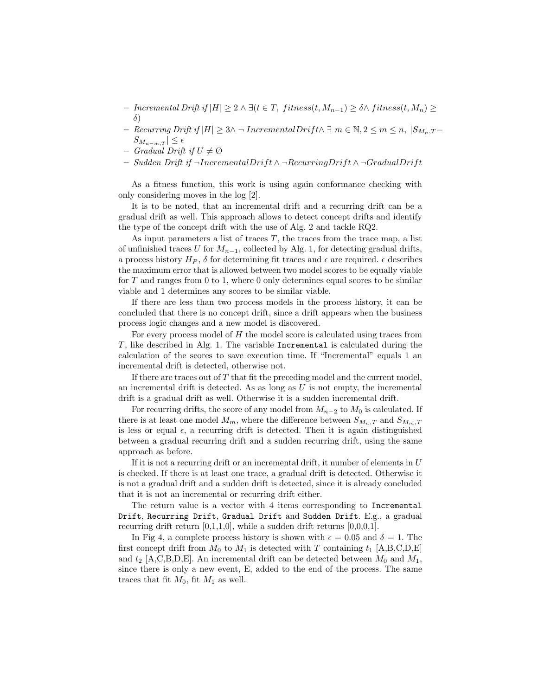- $-$  Incremental Drift if  $|H|$  ≥ 2 ∧  $\exists$  ( $t \in T$ , fitness $(t, M_{n-1})$  ≥  $\delta \wedge$  fitness $(t, M_n)$  ≥  $\delta$ )
- $-$  Recurring Drift if  $|H|$  ≥ 3∧  $\neg$  IncrementalDrift∧  $\exists m \in \mathbb{N}, 2 \le m \le n, |S_{M_n,T} |S_{M_{n-m,T}}| \leq \epsilon$
- $-$  Gradual Drift if  $U \neq \emptyset$
- $-$  Sudden Drift if  $\neg IncrementalDrift \wedge \neg RecurringDrift \wedge \neg GradualDrift$

As a fitness function, this work is using again conformance checking with only considering moves in the log [\[2\]](#page-16-3).

It is to be noted, that an incremental drift and a recurring drift can be a gradual drift as well. This approach allows to detect concept drifts and identify the type of the concept drift with the use of Alg. [2](#page-10-1) and tackle RQ2.

As input parameters a list of traces  $T$ , the traces from the trace map, a list of unfinished traces U for  $M_{n-1}$ , collected by Alg. [1,](#page-5-0) for detecting gradual drifts, a process history  $H_P$ ,  $\delta$  for determining fit traces and  $\epsilon$  are required.  $\epsilon$  describes the maximum error that is allowed between two model scores to be equally viable for  $T$  and ranges from  $0$  to 1, where  $0$  only determines equal scores to be similar viable and 1 determines any scores to be similar viable.

If there are less than two process models in the process history, it can be concluded that there is no concept drift, since a drift appears when the business process logic changes and a new model is discovered.

For every process model of H the model score is calculated using traces from T, like described in Alg. [1.](#page-5-0) The variable Incremental is calculated during the calculation of the scores to save execution time. If "Incremental" equals 1 an incremental drift is detected, otherwise not.

If there are traces out of  $T$  that fit the preceding model and the current model, an incremental drift is detected. As as long as  $U$  is not empty, the incremental drift is a gradual drift as well. Otherwise it is a sudden incremental drift.

For recurring drifts, the score of any model from  $M_{n-2}$  to  $M_0$  is calculated. If there is at least one model  $M_m$ , where the difference between  $S_{M_n,T}$  and  $S_{M_m,T}$ is less or equal  $\epsilon$ , a recurring drift is detected. Then it is again distinguished between a gradual recurring drift and a sudden recurring drift, using the same approach as before.

If it is not a recurring drift or an incremental drift, it number of elements in  $U$ is checked. If there is at least one trace, a gradual drift is detected. Otherwise it is not a gradual drift and a sudden drift is detected, since it is already concluded that it is not an incremental or recurring drift either.

The return value is a vector with 4 items corresponding to Incremental Drift, Recurring Drift, Gradual Drift and Sudden Drift. E.g., a gradual recurring drift return  $[0,1,1,0]$ , while a sudden drift returns  $[0,0,0,1]$ .

In Fig [4,](#page-10-2) a complete process history is shown with  $\epsilon = 0.05$  and  $\delta = 1$ . The first concept drift from  $M_0$  to  $M_1$  is detected with T containing  $t_1$  [A,B,C,D,E] and  $t_2$  [A,C,B,D,E]. An incremental drift can be detected between  $M_0$  and  $M_1$ , since there is only a new event, E, added to the end of the process. The same traces that fit  $M_0$ , fit  $M_1$  as well.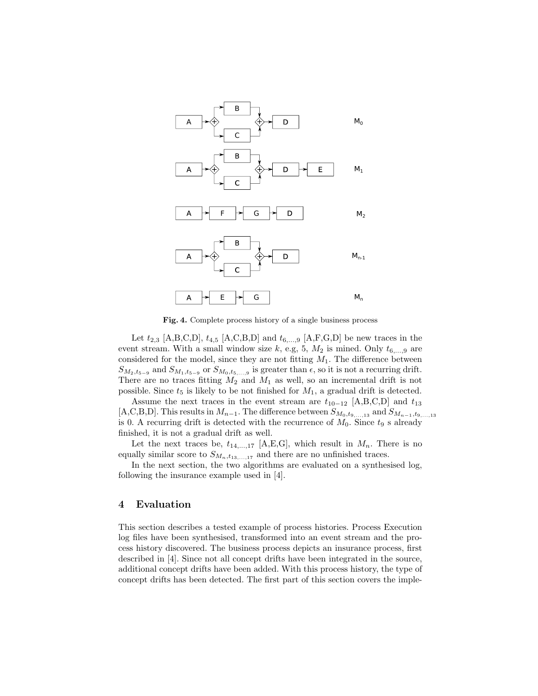

<span id="page-10-2"></span>Fig. 4. Complete process history of a single business process

Let  $t_{2,3}$  [A,B,C,D],  $t_{4,5}$  [A,C,B,D] and  $t_{6,...,9}$  [A,F,G,D] be new traces in the event stream. With a small window size k, e.g, 5,  $M_2$  is mined. Only  $t_{6,\dots,9}$  are considered for the model, since they are not fitting  $M_1$ . The difference between  $S_{M_2,t_{5-9}}$  and  $S_{M_1,t_{5-9}}$  or  $S_{M_0,t_{5,\ldots,9}}$  is greater than  $\epsilon$ , so it is not a recurring drift. There are no traces fitting  $M_2$  and  $M_1$  as well, so an incremental drift is not possible. Since  $t_5$  is likely to be not finished for  $M_1$ , a gradual drift is detected.

Assume the next traces in the event stream are  $t_{10-12}$  [A,B,C,D] and  $t_{13}$ [A,C,B,D]. This results in  $M_{n-1}$ . The difference between  $S_{M_0,t_{9},...,13}$  and  $S_{M_{n-1},t_{9},...,13}$ is 0. A recurring drift is detected with the recurrence of  $M_0$ . Since  $t_9$  s already finished, it is not a gradual drift as well.

Let the next traces be,  $t_{14,\dots,17}$  [A,E,G], which result in  $M_n$ . There is no equally similar score to  $S_{M_n,t_{13,\dots,17}}$  and there are no unfinished traces.

<span id="page-10-1"></span>In the next section, the two algorithms are evaluated on a synthesised log, following the insurance example used in [\[4\]](#page-16-0).

## <span id="page-10-0"></span>4 Evaluation

This section describes a tested example of process histories. Process Execution log files have been synthesised, transformed into an event stream and the process history discovered. The business process depicts an insurance process, first described in [\[4\]](#page-16-0). Since not all concept drifts have been integrated in the source, additional concept drifts have been added. With this process history, the type of concept drifts has been detected. The first part of this section covers the imple-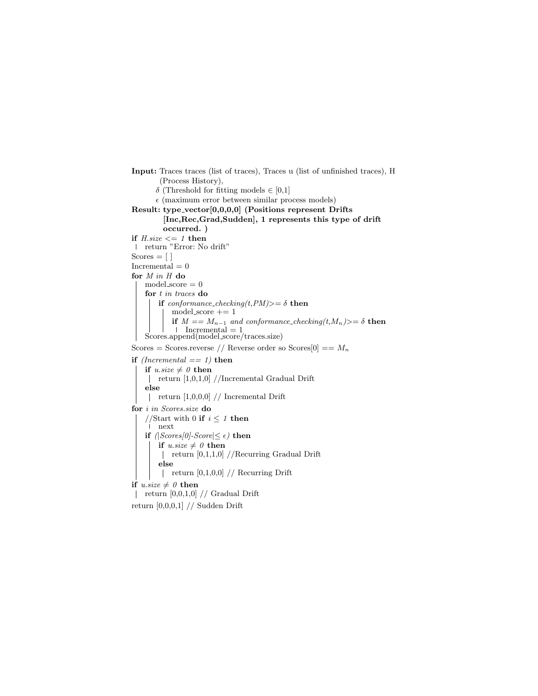```
Input: Traces traces (list of traces), Traces u (list of unfinished traces), H
        (Process History),
       δ (Threshold for fitting models \in [0,1]
       \epsilon (maximum error between similar process models)
Result: type vector[0,0,0,0] (Positions represent Drifts
         [Inc,Rec,Grad,Sudden], 1 represents this type of drift
         occurred. )
if H.size \leq 1 then
return "Error: No drift"
\text{Scores} = [ ]\label{eq:1} \text{Incremental} = 0for M in H do
   model_score = 0for t in traces do
       if conformance_checking(t, PM)>= \delta then
           model_score += 1if M = M_{n-1} and conformance_checking(t, M_n) > = \delta then
            \blacksquare Incremental = 1Scores.append(model score/traces.size)
Scores = Scores.reverse // Reverse order so Scores[0] == M_nif (Incremental == 1) then
   if u.size \neq 0 then
    return [1,0,1,0] //Incremental Gradual Drift
   else
    | return [1,0,0,0] // Incremental Drift
for i in Scores.size do
   //Start with 0 if i \leq 1 then
     next
   if (|\text{Scores}[0] - \text{Score}| \leq \epsilon) then
       if u.size \neq 0 then
        | return [0,1,1,0] //Recurring Gradual Drift
       else
        | return [0,1,0,0] // Recurring Drift
if u.size \neq 0 then
| return [0,0,1,0] // Gradual Drift
```

```
return [0,0,0,1] // Sudden Drift
```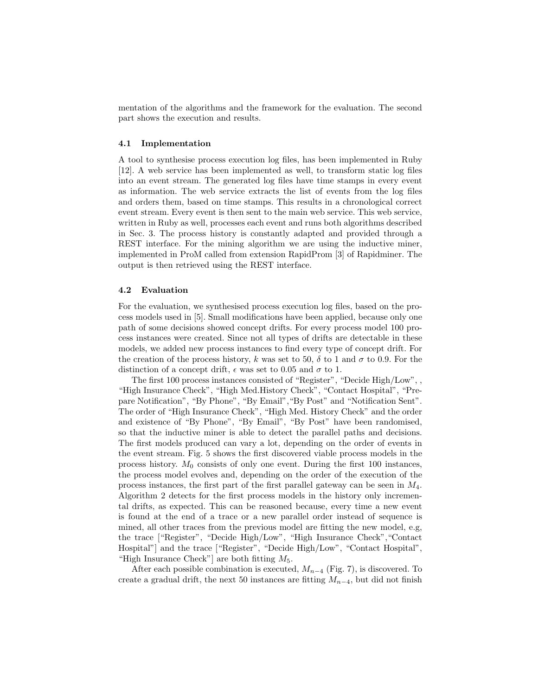mentation of the algorithms and the framework for the evaluation. The second part shows the execution and results.

## 4.1 Implementation

A tool to synthesise process execution log files, has been implemented in Ruby [\[12\]](#page-17-11). A web service has been implemented as well, to transform static log files into an event stream. The generated log files have time stamps in every event as information. The web service extracts the list of events from the log files and orders them, based on time stamps. This results in a chronological correct event stream. Every event is then sent to the main web service. This web service, written in Ruby as well, processes each event and runs both algorithms described in Sec. [3.](#page-4-0) The process history is constantly adapted and provided through a REST interface. For the mining algorithm we are using the inductive miner, implemented in ProM called from extension RapidProm [\[3\]](#page-16-4) of Rapidminer. The output is then retrieved using the REST interface.

### 4.2 Evaluation

For the evaluation, we synthesised process execution log files, based on the process models used in [\[5\]](#page-17-1). Small modifications have been applied, because only one path of some decisions showed concept drifts. For every process model 100 process instances were created. Since not all types of drifts are detectable in these models, we added new process instances to find every type of concept drift. For the creation of the process history, k was set to 50,  $\delta$  to 1 and  $\sigma$  to 0.9. For the distinction of a concept drift,  $\epsilon$  was set to 0.05 and  $\sigma$  to 1.

The first 100 process instances consisted of "Register", "Decide High/Low", , "High Insurance Check", "High Med.History Check", "Contact Hospital", "Prepare Notification", "By Phone", "By Email","By Post" and "Notification Sent". The order of "High Insurance Check", "High Med. History Check" and the order and existence of "By Phone", "By Email", "By Post" have been randomised, so that the inductive miner is able to detect the parallel paths and decisions. The first models produced can vary a lot, depending on the order of events in the event stream. Fig. [5](#page-13-0) shows the first discovered viable process models in the process history.  $M_0$  consists of only one event. During the first 100 instances, the process model evolves and, depending on the order of the execution of the process instances, the first part of the first parallel gateway can be seen in  $M_4$ . Algorithm [2](#page-10-1) detects for the first process models in the history only incremental drifts, as expected. This can be reasoned because, every time a new event is found at the end of a trace or a new parallel order instead of sequence is mined, all other traces from the previous model are fitting the new model, e.g, the trace ["Register", "Decide High/Low", "High Insurance Check","Contact Hospital"] and the trace ["Register", "Decide High/Low", "Contact Hospital", "High Insurance Check" are both fitting  $M_5$ .

After each possible combination is executed,  $M_{n-4}$  (Fig. [7\)](#page-15-0), is discovered. To create a gradual drift, the next 50 instances are fitting  $M_{n-4}$ , but did not finish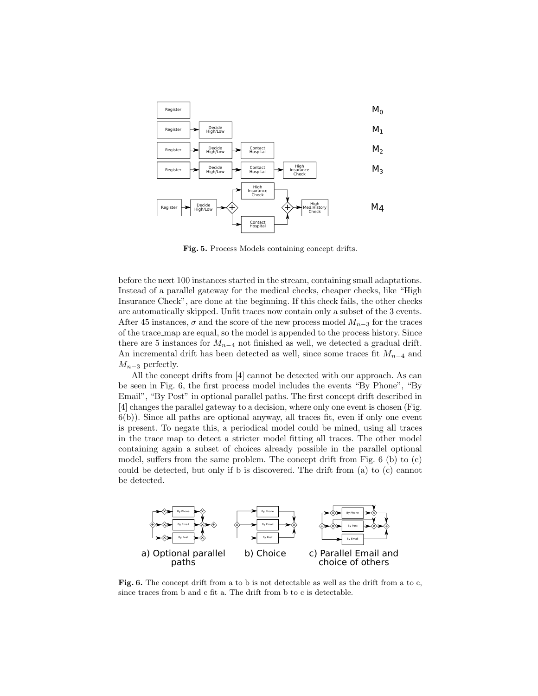



<span id="page-13-0"></span>Fig. 5. Process Models containing concept drifts.

before the next 100 instances started in the stream, containing small adaptations. Instead of a parallel gateway for the medical checks, cheaper checks, like "High Insurance Check", are done at the beginning. If this check fails, the other checks are automatically skipped. Unfit traces now contain only a subset of the 3 events. After 45 instances,  $\sigma$  and the score of the new process model  $M_{n-3}$  for the traces of the trace map are equal, so the model is appended to the process history. Since there are 5 instances for  $M_{n-4}$  not finished as well, we detected a gradual drift. An incremental drift has been detected as well, since some traces fit  $M_{n-4}$  and  $M_{n-3}$  perfectly.

All the concept drifts from [\[4\]](#page-16-0) cannot be detected with our approach. As can be seen in Fig. [6,](#page-13-1) the first process model includes the events "By Phone", "By Email", "By Post" in optional parallel paths. The first concept drift described in [\[4\]](#page-16-0) changes the parallel gateway to a decision, where only one event is chosen (Fig. [6\(](#page-13-1)b)). Since all paths are optional anyway, all traces fit, even if only one event is present. To negate this, a periodical model could be mined, using all traces in the trace map to detect a stricter model fitting all traces. The other model containing again a subset of choices already possible in the parallel optional model, suffers from the same problem. The concept drift from Fig. [6](#page-13-1) (b) to (c) could be detected, but only if b is discovered. The drift from (a) to (c) cannot be detected.



<span id="page-13-1"></span>Fig. 6. The concept drift from a to b is not detectable as well as the drift from a to c, since traces from b and c fit a. The drift from b to c is detectable.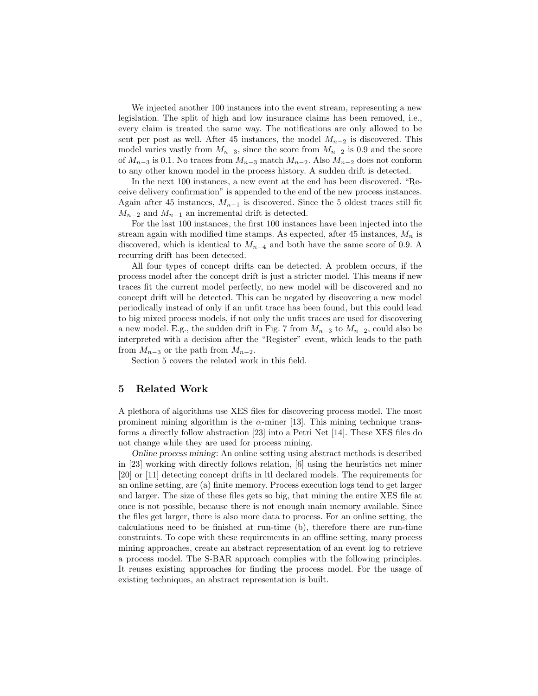We injected another 100 instances into the event stream, representing a new legislation. The split of high and low insurance claims has been removed, i.e., every claim is treated the same way. The notifications are only allowed to be sent per post as well. After 45 instances, the model  $M_{n-2}$  is discovered. This model varies vastly from  $M_{n-3}$ , since the score from  $M_{n-2}$  is 0.9 and the score of  $M_{n-3}$  is 0.1. No traces from  $M_{n-3}$  match  $M_{n-2}$ . Also  $M_{n-2}$  does not conform to any other known model in the process history. A sudden drift is detected.

In the next 100 instances, a new event at the end has been discovered. "Receive delivery confirmation" is appended to the end of the new process instances. Again after 45 instances,  $M_{n-1}$  is discovered. Since the 5 oldest traces still fit  $M_{n-2}$  and  $M_{n-1}$  an incremental drift is detected.

For the last 100 instances, the first 100 instances have been injected into the stream again with modified time stamps. As expected, after 45 instances,  $M_n$  is discovered, which is identical to  $M_{n-4}$  and both have the same score of 0.9. A recurring drift has been detected.

All four types of concept drifts can be detected. A problem occurs, if the process model after the concept drift is just a stricter model. This means if new traces fit the current model perfectly, no new model will be discovered and no concept drift will be detected. This can be negated by discovering a new model periodically instead of only if an unfit trace has been found, but this could lead to big mixed process models, if not only the unfit traces are used for discovering a new model. E.g., the sudden drift in Fig. [7](#page-15-0) from  $M_{n-3}$  to  $M_{n-2}$ , could also be interpreted with a decision after the "Register" event, which leads to the path from  $M_{n-3}$  or the path from  $M_{n-2}$ .

Section [5](#page-14-0) covers the related work in this field.

## <span id="page-14-0"></span>5 Related Work

A plethora of algorithms use XES files for discovering process model. The most prominent mining algorithm is the  $\alpha$ -miner [\[13\]](#page-17-12). This mining technique transforms a directly follow abstraction [\[23\]](#page-17-6) into a Petri Net [\[14\]](#page-17-13). These XES files do not change while they are used for process mining.

Online process mining: An online setting using abstract methods is described in [\[23\]](#page-17-6) working with directly follows relation, [\[6\]](#page-17-14) using the heuristics net miner [\[20\]](#page-17-15) or [\[11\]](#page-17-16) detecting concept drifts in ltl declared models. The requirements for an online setting, are (a) finite memory. Process execution logs tend to get larger and larger. The size of these files gets so big, that mining the entire XES file at once is not possible, because there is not enough main memory available. Since the files get larger, there is also more data to process. For an online setting, the calculations need to be finished at run-time (b), therefore there are run-time constraints. To cope with these requirements in an offline setting, many process mining approaches, create an abstract representation of an event log to retrieve a process model. The S-BAR approach complies with the following principles. It reuses existing approaches for finding the process model. For the usage of existing techniques, an abstract representation is built.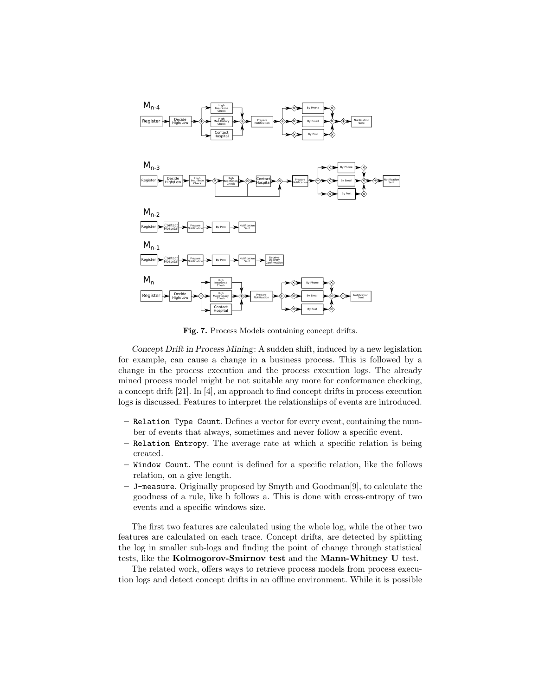

<span id="page-15-0"></span>Fig. 7. Process Models containing concept drifts.

Concept Drift in Process Mining: A sudden shift, induced by a new legislation for example, can cause a change in a business process. This is followed by a change in the process execution and the process execution logs. The already mined process model might be not suitable any more for conformance checking, a concept drift [\[21\]](#page-17-10). In [\[4\]](#page-16-0), an approach to find concept drifts in process execution logs is discussed. Features to interpret the relationships of events are introduced.

- Relation Type Count. Defines a vector for every event, containing the number of events that always, sometimes and never follow a specific event.
- Relation Entropy. The average rate at which a specific relation is being created.
- Window Count. The count is defined for a specific relation, like the follows relation, on a give length.
- J-measure. Originally proposed by Smyth and Goodman[\[9\]](#page-17-17), to calculate the goodness of a rule, like b follows a. This is done with cross-entropy of two events and a specific windows size.

The first two features are calculated using the whole log, while the other two features are calculated on each trace. Concept drifts, are detected by splitting the log in smaller sub-logs and finding the point of change through statistical tests, like the Kolmogorov-Smirnov test and the Mann-Whitney U test.

The related work, offers ways to retrieve process models from process execution logs and detect concept drifts in an offline environment. While it is possible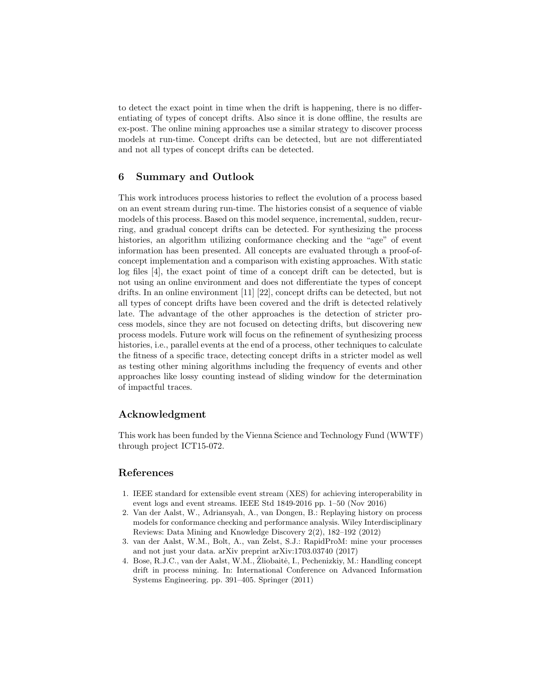to detect the exact point in time when the drift is happening, there is no differentiating of types of concept drifts. Also since it is done offline, the results are ex-post. The online mining approaches use a similar strategy to discover process models at run-time. Concept drifts can be detected, but are not differentiated and not all types of concept drifts can be detected.

## <span id="page-16-1"></span>6 Summary and Outlook

This work introduces process histories to reflect the evolution of a process based on an event stream during run-time. The histories consist of a sequence of viable models of this process. Based on this model sequence, incremental, sudden, recurring, and gradual concept drifts can be detected. For synthesizing the process histories, an algorithm utilizing conformance checking and the "age" of event information has been presented. All concepts are evaluated through a proof-ofconcept implementation and a comparison with existing approaches. With static log files [\[4\]](#page-16-0), the exact point of time of a concept drift can be detected, but is not using an online environment and does not differentiate the types of concept drifts. In an online environment [\[11\]](#page-17-16) [\[22\]](#page-17-18), concept drifts can be detected, but not all types of concept drifts have been covered and the drift is detected relatively late. The advantage of the other approaches is the detection of stricter process models, since they are not focused on detecting drifts, but discovering new process models. Future work will focus on the refinement of synthesizing process histories, i.e., parallel events at the end of a process, other techniques to calculate the fitness of a specific trace, detecting concept drifts in a stricter model as well as testing other mining algorithms including the frequency of events and other approaches like lossy counting instead of sliding window for the determination of impactful traces.

## Acknowledgment

This work has been funded by the Vienna Science and Technology Fund (WWTF) through project ICT15-072.

## References

- <span id="page-16-2"></span>1. IEEE standard for extensible event stream (XES) for achieving interoperability in event logs and event streams. IEEE Std 1849-2016 pp. 1–50 (Nov 2016)
- <span id="page-16-3"></span>2. Van der Aalst, W., Adriansyah, A., van Dongen, B.: Replaying history on process models for conformance checking and performance analysis. Wiley Interdisciplinary Reviews: Data Mining and Knowledge Discovery 2(2), 182–192 (2012)
- <span id="page-16-4"></span>3. van der Aalst, W.M., Bolt, A., van Zelst, S.J.: RapidProM: mine your processes and not just your data. arXiv preprint arXiv:1703.03740 (2017)
- <span id="page-16-0"></span>4. Bose, R.J.C., van der Aalst, W.M., Zliobaitė, I., Pechenizkiy, M.: Handling concept drift in process mining. In: International Conference on Advanced Information Systems Engineering. pp. 391–405. Springer (2011)